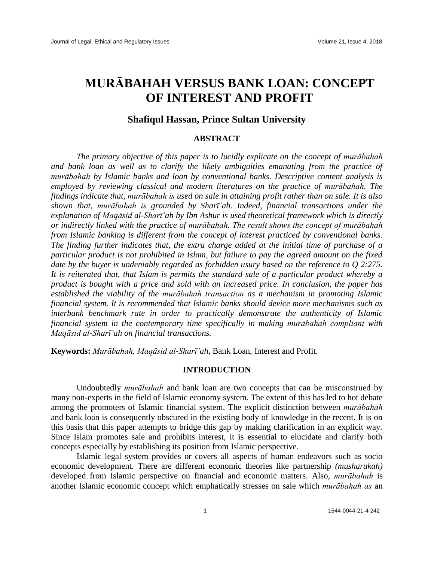# **MURᾹBAHAH VERSUS BANK LOAN: CONCEPT OF INTEREST AND PROFIT**

# **Shafiqul Hassan, Prince Sultan University**

### **ABSTRACT**

*The primary objective of this paper is to lucidly explicate on the concept of murābahah and bank loan as well as to clarify the likely ambiguities emanating from the practice of murābahah by Islamic banks and loan by conventional banks. Descriptive content analysis is employed by reviewing classical and modern literatures on the practice of murābahah. The findings indicate that, murābahah is used on sale in attaining profit rather than on sale. It is also shown that, murābahah is grounded by Sharī῾ah. Indeed, financial transactions under the explanation of Maqāsid al-Sharī῾ah by Ibn Ashur is used theoretical framework which is directly or indirectly linked with the practice of murābahah. The result shows the concept of murābahah from Islamic banking is different from the concept of interest practiced by conventional banks. The finding further indicates that, the extra charge added at the initial time of purchase of a particular product is not prohibited in Islam, but failure to pay the agreed amount on the fixed date by the buyer is undeniably regarded as forbidden usury based on the reference to Q 2:275. It is reiterated that, that Islam is permits the standard sale of a particular product whereby a product is bought with a price and sold with an increased price. In conclusion, the paper has established the viability of the murābahah transaction as a mechanism in promoting Islamic financial system. It is recommended that Islamic banks should device more mechanisms such as interbank benchmark rate in order to practically demonstrate the authenticity of Islamic financial system in the contemporary time specifically in making murābahah compliant with Maqāsid al-Sharī῾ah on financial transactions.*

**Keywords:** *Murābahah, Maqāsid al-Sharī῾ah*, Bank Loan, Interest and Profit.

#### **INTRODUCTION**

Undoubtedly *murābahah* and bank loan are two concepts that can be misconstrued by many non-experts in the field of Islamic economy system. The extent of this has led to hot debate among the promoters of Islamic financial system. The explicit distinction between *murābahah*  and bank loan is consequently obscured in the existing body of knowledge in the recent. It is on this basis that this paper attempts to bridge this gap by making clarification in an explicit way. Since Islam promotes sale and prohibits interest, it is essential to elucidate and clarify both concepts especially by establishing its position from Islamic perspective.

Islamic legal system provides or covers all aspects of human endeavors such as socio economic development. There are different economic theories like partnership *(musharakah)* developed from Islamic perspective on financial and economic matters. Also, *murābahah* is another Islamic economic concept which emphatically stresses on sale which *murābahah as* an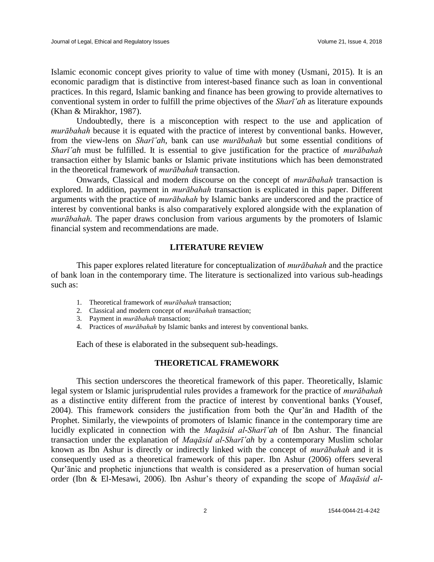Islamic economic concept gives priority to value of time with money (Usmani, 2015). It is an economic paradigm that is distinctive from interest-based finance such as loan in conventional practices. In this regard, Islamic banking and finance has been growing to provide alternatives to conventional system in order to fulfill the prime objectives of the *Sharī'ah* as literature expounds (Khan & Mirakhor, 1987).

Undoubtedly, there is a misconception with respect to the use and application of *murābahah* because it is equated with the practice of interest by conventional banks. However, from the view-lens on *Sharī῾ah*, bank can use *murābahah* but some essential conditions of *Sharī῾ah* must be fulfilled. It is essential to give justification for the practice of *murābahah* transaction either by Islamic banks or Islamic private institutions which has been demonstrated in the theoretical framework of *murābahah* transaction.

Onwards, Classical and modern discourse on the concept of *murābahah* transaction is explored. In addition, payment in *murābahah* transaction is explicated in this paper. Different arguments with the practice of *murābahah* by Islamic banks are underscored and the practice of interest by conventional banks is also comparatively explored alongside with the explanation of *murābahah.* The paper draws conclusion from various arguments by the promoters of Islamic financial system and recommendations are made.

# **LITERATURE REVIEW**

This paper explores related literature for conceptualization of *murābahah* and the practice of bank loan in the contemporary time. The literature is sectionalized into various sub-headings such as:

- 1. Theoretical framework of *murābahah* transaction;
- 2. Classical and modern concept of *murābahah* transaction;
- 3. Payment in *murābahah* transaction;
- 4. Practices of *murābahah* by Islamic banks and interest by conventional banks.

Each of these is elaborated in the subsequent sub-headings.

# **THEORETICAL FRAMEWORK**

This section underscores the theoretical framework of this paper. Theoretically, Islamic legal system or Islamic jurisprudential rules provides a framework for the practice of *murābahah*  as a distinctive entity different from the practice of interest by conventional banks (Yousef, 2004). This framework considers the justification from both the Qur'ān and Hadīth of the Prophet. Similarly, the viewpoints of promoters of Islamic finance in the contemporary time are lucidly explicated in connection with the *Maqāsid al-Sharī῾ah* of Ibn Ashur. The financial transaction under the explanation of *Maqāsid al-Sharī'ah* by a contemporary Muslim scholar known as Ibn Ashur is directly or indirectly linked with the concept of *murābahah* and it is consequently used as a theoretical framework of this paper. Ibn Ashur (2006) offers several Qur'ānic and prophetic injunctions that wealth is considered as a preservation of human social order (Ibn & El-Mesawi, 2006). Ibn Ashur's theory of expanding the scope of *Maqāsid al-*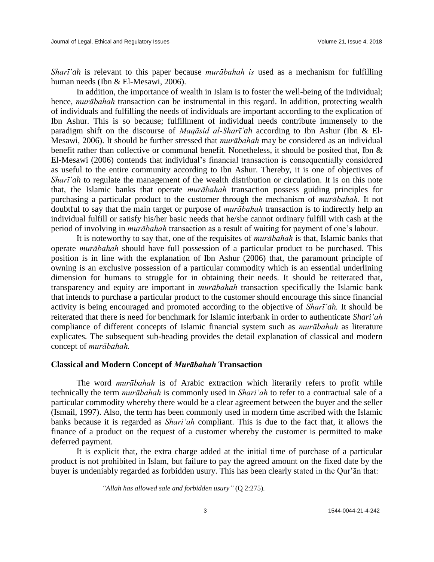*Sharī'ah* is relevant to this paper because *murābahah is* used as a mechanism for fulfilling human needs (Ibn & El-Mesawi, 2006).

In addition, the importance of wealth in Islam is to foster the well-being of the individual; hence, *murābahah* transaction can be instrumental in this regard. In addition, protecting wealth of individuals and fulfilling the needs of individuals are important according to the explication of Ibn Ashur. This is so because; fulfillment of individual needs contribute immensely to the paradigm shift on the discourse of *Magāsid al-Sharī'ah* according to Ibn Ashur (Ibn & El-Mesawi, 2006). It should be further stressed that *murābahah* may be considered as an individual benefit rather than collective or communal benefit. Nonetheless, it should be posited that, Ibn & El-Mesawi (2006) contends that individual's financial transaction is consequentially considered as useful to the entire community according to Ibn Ashur. Thereby, it is one of objectives of *Sharī'ah* to regulate the management of the wealth distribution or circulation. It is on this note that, the Islamic banks that operate *murābahah* transaction possess guiding principles for purchasing a particular product to the customer through the mechanism of *murābahah.* It not doubtful to say that the main target or purpose of *murābahah* transaction is to indirectly help an individual fulfill or satisfy his/her basic needs that he/she cannot ordinary fulfill with cash at the period of involving in *murābahah* transaction as a result of waiting for payment of one's labour.

It is noteworthy to say that, one of the requisites of *murābahah* is that, Islamic banks that operate *murābahah* should have full possession of a particular product to be purchased. This position is in line with the explanation of Ibn Ashur (2006) that, the paramount principle of owning is an exclusive possession of a particular commodity which is an essential underlining dimension for humans to struggle for in obtaining their needs. It should be reiterated that, transparency and equity are important in *murābahah* transaction specifically the Islamic bank that intends to purchase a particular product to the customer should encourage this since financial activity is being encouraged and promoted according to the objective of *Sharī'ah*. It should be reiterated that there is need for benchmark for Islamic interbank in order to authenticate *Shari'ah* compliance of different concepts of Islamic financial system such as *murābahah* as literature explicates*.* The subsequent sub-heading provides the detail explanation of classical and modern concept of *murābahah.*

### **Classical and Modern Concept of** *Murābahah* **Transaction**

The word *murābahah* is of Arabic extraction which literarily refers to profit while technically the term *murābahah* is commonly used in *Shari'ah* to refer to a contractual sale of a particular commodity whereby there would be a clear agreement between the buyer and the seller (Ismail, 1997). Also, the term has been commonly used in modern time ascribed with the Islamic banks because it is regarded as *Shari'ah* compliant. This is due to the fact that, it allows the finance of a product on the request of a customer whereby the customer is permitted to make deferred payment.

It is explicit that, the extra charge added at the initial time of purchase of a particular product is not prohibited in Islam, but failure to pay the agreed amount on the fixed date by the buyer is undeniably regarded as forbidden usury. This has been clearly stated in the Qur'ān that:

*"Allah has allowed sale and forbidden usury"* (Q 2:275).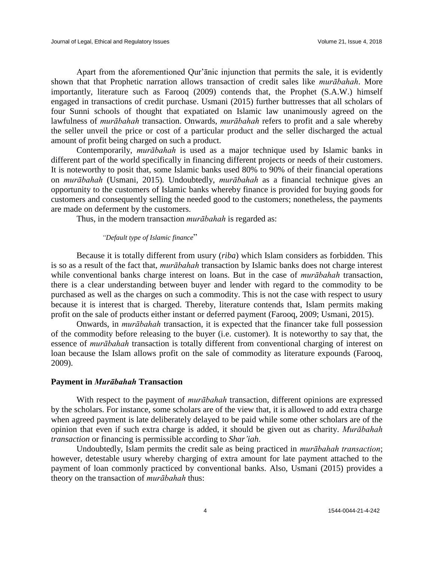Apart from the aforementioned Qur'ānic injunction that permits the sale, it is evidently shown that that Prophetic narration allows transaction of credit sales like *murābahah*. More importantly, literature such as Farooq (2009) contends that, the Prophet (S.A.W.) himself engaged in transactions of credit purchase. Usmani (2015) further buttresses that all scholars of four Sunni schools of thought that expatiated on Islamic law unanimously agreed on the lawfulness of *murābahah* transaction. Onwards, *murābahah* refers to profit and a sale whereby the seller unveil the price or cost of a particular product and the seller discharged the actual amount of profit being charged on such a product.

Contemporarily, *murābahah* is used as a major technique used by Islamic banks in different part of the world specifically in financing different projects or needs of their customers. It is noteworthy to posit that, some Islamic banks used 80% to 90% of their financial operations on *murābahah* (Usmani, 2015)*.* Undoubtedly, *murābahah* as a financial technique gives an opportunity to the customers of Islamic banks whereby finance is provided for buying goods for customers and consequently selling the needed good to the customers; nonetheless, the payments are made on deferment by the customers.

Thus, in the modern transaction *murābahah* is regarded as:

#### *"Default type of Islamic finance*"

Because it is totally different from usury (*riba*) which Islam considers as forbidden. This is so as a result of the fact that, *murābahah* transaction by Islamic banks does not charge interest while conventional banks charge interest on loans. But in the case of *murābahah* transaction, there is a clear understanding between buyer and lender with regard to the commodity to be purchased as well as the charges on such a commodity. This is not the case with respect to usury because it is interest that is charged. Thereby, literature contends that, Islam permits making profit on the sale of products either instant or deferred payment (Farooq, 2009; Usmani, 2015).

Onwards, in *murābahah* transaction, it is expected that the financer take full possession of the commodity before releasing to the buyer (i.e. customer). It is noteworthy to say that, the essence of *murābahah* transaction is totally different from conventional charging of interest on loan because the Islam allows profit on the sale of commodity as literature expounds (Farooq, 2009).

#### **Payment in** *Murābahah* **Transaction**

With respect to the payment of *murābahah* transaction, different opinions are expressed by the scholars. For instance, some scholars are of the view that, it is allowed to add extra charge when agreed payment is late deliberately delayed to be paid while some other scholars are of the opinion that even if such extra charge is added, it should be given out as charity. *Murābahah transaction* or financing is permissible according to *Shar'iah*.

Undoubtedly, Islam permits the credit sale as being practiced in *murābahah transaction*; however, detestable usury whereby charging of extra amount for late payment attached to the payment of loan commonly practiced by conventional banks. Also, Usmani (2015) provides a theory on the transaction of *murābahah* thus: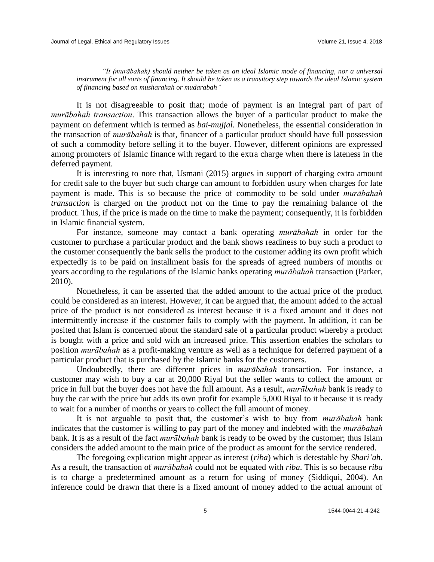*"It (murābahah) should neither be taken as an ideal Islamic mode of financing, nor a universal instrument for all sorts of financing. It should be taken as a transitory step towards the ideal Islamic system of financing based on musharakah or mudarabah"*

It is not disagreeable to posit that; mode of payment is an integral part of part of *murābahah transaction*. This transaction allows the buyer of a particular product to make the payment on deferment which is termed as *bai-mujjal.* Nonetheless, the essential consideration in the transaction of *murābahah* is that, financer of a particular product should have full possession of such a commodity before selling it to the buyer. However, different opinions are expressed among promoters of Islamic finance with regard to the extra charge when there is lateness in the deferred payment.

It is interesting to note that, Usmani (2015) argues in support of charging extra amount for credit sale to the buyer but such charge can amount to forbidden usury when charges for late payment is made. This is so because the price of commodity to be sold under *murābahah transaction* is charged on the product not on the time to pay the remaining balance of the product. Thus, if the price is made on the time to make the payment; consequently, it is forbidden in Islamic financial system.

For instance, someone may contact a bank operating *murābahah* in order for the customer to purchase a particular product and the bank shows readiness to buy such a product to the customer consequently the bank sells the product to the customer adding its own profit which expectedly is to be paid on installment basis for the spreads of agreed numbers of months or years according to the regulations of the Islamic banks operating *murābahah* transaction (Parker, 2010).

Nonetheless, it can be asserted that the added amount to the actual price of the product could be considered as an interest. However, it can be argued that, the amount added to the actual price of the product is not considered as interest because it is a fixed amount and it does not intermittently increase if the customer fails to comply with the payment. In addition, it can be posited that Islam is concerned about the standard sale of a particular product whereby a product is bought with a price and sold with an increased price. This assertion enables the scholars to position *murābahah* as a profit-making venture as well as a technique for deferred payment of a particular product that is purchased by the Islamic banks for the customers.

Undoubtedly, there are different prices in *murābahah* transaction. For instance, a customer may wish to buy a car at 20,000 Riyal but the seller wants to collect the amount or price in full but the buyer does not have the full amount. As a result, *murābahah* bank is ready to buy the car with the price but adds its own profit for example 5,000 Riyal to it because it is ready to wait for a number of months or years to collect the full amount of money.

It is not arguable to posit that, the customer's wish to buy from *murābahah* bank indicates that the customer is willing to pay part of the money and indebted with the *murābahah*  bank. It is as a result of the fact *murābahah* bank is ready to be owed by the customer; thus Islam considers the added amount to the main price of the product as amount for the service rendered.

The foregoing explication might appear as interest (*riba*) which is detestable by *Shari'ah*. As a result, the transaction of *murābahah* could not be equated with *riba*. This is so because *riba* is to charge a predetermined amount as a return for using of money (Siddiqui, 2004). An inference could be drawn that there is a fixed amount of money added to the actual amount of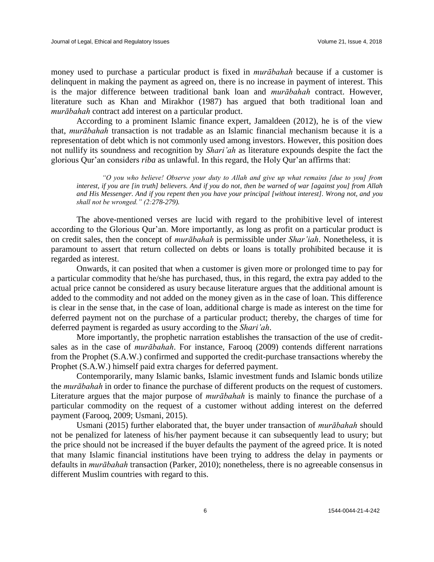money used to purchase a particular product is fixed in *murābahah* because if a customer is delinquent in making the payment as agreed on, there is no increase in payment of interest. This is the major difference between traditional bank loan and *murābahah* contract. However, literature such as Khan and Mirakhor (1987) has argued that both traditional loan and *murābahah* contract add interest on a particular product.

According to a prominent Islamic finance expert, Jamaldeen (2012), he is of the view that, *murābahah* transaction is not tradable as an Islamic financial mechanism because it is a representation of debt which is not commonly used among investors. However, this position does not nullify its soundness and recognition by *Shari'ah* as literature expounds despite the fact the glorious Qur'an considers *riba* as unlawful. In this regard, the Holy Qur'an affirms that:

*"O you who believe! Observe your duty to Allah and give up what remains [due to you] from interest, if you are [in truth] believers. And if you do not, then be warned of war [against you] from Allah and His Messenger. And if you repent then you have your principal [without interest]. Wrong not, and you shall not be wronged." (2:278-279).*

The above-mentioned verses are lucid with regard to the prohibitive level of interest according to the Glorious Qur'an. More importantly, as long as profit on a particular product is on credit sales, then the concept of *murābahah* is permissible under *Shar'iah*. Nonetheless, it is paramount to assert that return collected on debts or loans is totally prohibited because it is regarded as interest.

Onwards, it can posited that when a customer is given more or prolonged time to pay for a particular commodity that he/she has purchased, thus, in this regard, the extra pay added to the actual price cannot be considered as usury because literature argues that the additional amount is added to the commodity and not added on the money given as in the case of loan. This difference is clear in the sense that, in the case of loan, additional charge is made as interest on the time for deferred payment not on the purchase of a particular product; thereby, the charges of time for deferred payment is regarded as usury according to the *Shari'ah*.

More importantly, the prophetic narration establishes the transaction of the use of creditsales as in the case of *murābahah*. For instance, Farooq (2009) contends different narrations from the Prophet (S.A.W.) confirmed and supported the credit-purchase transactions whereby the Prophet (S.A.W.) himself paid extra charges for deferred payment.

Contemporarily, many Islamic banks, Islamic investment funds and Islamic bonds utilize the *murābahah* in order to finance the purchase of different products on the request of customers. Literature argues that the major purpose of *murābahah* is mainly to finance the purchase of a particular commodity on the request of a customer without adding interest on the deferred payment (Farooq, 2009; Usmani, 2015).

Usmani (2015) further elaborated that, the buyer under transaction of *murābahah* should not be penalized for lateness of his/her payment because it can subsequently lead to usury; but the price should not be increased if the buyer defaults the payment of the agreed price. It is noted that many Islamic financial institutions have been trying to address the delay in payments or defaults in *murābahah* transaction (Parker, 2010); nonetheless, there is no agreeable consensus in different Muslim countries with regard to this.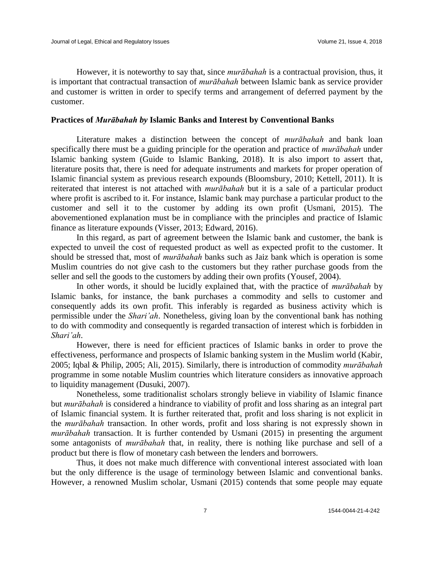However, it is noteworthy to say that, since *murābahah* is a contractual provision, thus, it is important that contractual transaction of *murābahah* between Islamic bank as service provider and customer is written in order to specify terms and arrangement of deferred payment by the customer.

#### **Practices of** *Murābahah by* **Islamic Banks and Interest by Conventional Banks**

Literature makes a distinction between the concept of *murābahah* and bank loan specifically there must be a guiding principle for the operation and practice of *murābahah* under Islamic banking system (Guide to Islamic Banking, 2018). It is also import to assert that, literature posits that, there is need for adequate instruments and markets for proper operation of Islamic financial system as previous research expounds (Bloomsbury, 2010; Kettell, 2011). It is reiterated that interest is not attached with *murābahah* but it is a sale of a particular product where profit is ascribed to it. For instance, Islamic bank may purchase a particular product to the customer and sell it to the customer by adding its own profit (Usmani, 2015). The abovementioned explanation must be in compliance with the principles and practice of Islamic finance as literature expounds (Visser, 2013; Edward, 2016).

In this regard, as part of agreement between the Islamic bank and customer, the bank is expected to unveil the cost of requested product as well as expected profit to the customer. It should be stressed that, most of *murābahah* banks such as Jaiz bank which is operation is some Muslim countries do not give cash to the customers but they rather purchase goods from the seller and sell the goods to the customers by adding their own profits (Yousef, 2004).

In other words, it should be lucidly explained that, with the practice of *murābahah* by Islamic banks, for instance, the bank purchases a commodity and sells to customer and consequently adds its own profit. This inferably is regarded as business activity which is permissible under the *Shari'ah*. Nonetheless, giving loan by the conventional bank has nothing to do with commodity and consequently is regarded transaction of interest which is forbidden in *Shari'ah*.

However, there is need for efficient practices of Islamic banks in order to prove the effectiveness, performance and prospects of Islamic banking system in the Muslim world (Kabir, 2005; Iqbal & Philip, 2005; Ali, 2015). Similarly, there is introduction of commodity *murābahah*  programme in some notable Muslim countries which literature considers as innovative approach to liquidity management (Dusuki, 2007).

Nonetheless, some traditionalist scholars strongly believe in viability of Islamic finance but *murābahah* is considered a hindrance to viability of profit and loss sharing as an integral part of Islamic financial system. It is further reiterated that, profit and loss sharing is not explicit in the *murābahah* transaction. In other words, profit and loss sharing is not expressly shown in *murābahah* transaction. It is further contended by Usmani (2015) in presenting the argument some antagonists of *murābahah* that, in reality, there is nothing like purchase and sell of a product but there is flow of monetary cash between the lenders and borrowers.

Thus, it does not make much difference with conventional interest associated with loan but the only difference is the usage of terminology between Islamic and conventional banks. However, a renowned Muslim scholar, Usmani (2015) contends that some people may equate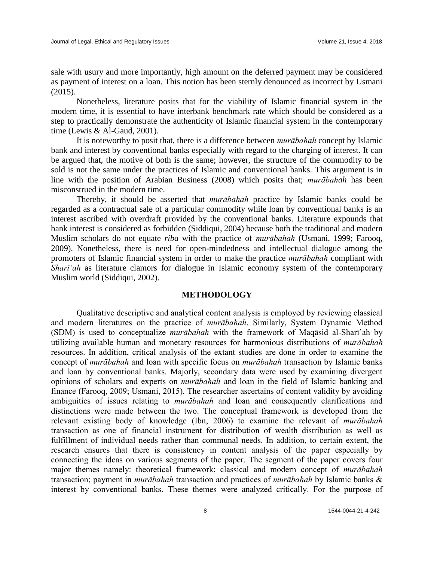sale with usury and more importantly, high amount on the deferred payment may be considered as payment of interest on a loan. This notion has been sternly denounced as incorrect by Usmani (2015).

Nonetheless, literature posits that for the viability of Islamic financial system in the modern time, it is essential to have interbank benchmark rate which should be considered as a step to practically demonstrate the authenticity of Islamic financial system in the contemporary time (Lewis & Al-Gaud, 2001).

It is noteworthy to posit that, there is a difference between *murābahah* concept by Islamic bank and interest by conventional banks especially with regard to the charging of interest. It can be argued that, the motive of both is the same; however, the structure of the commodity to be sold is not the same under the practices of Islamic and conventional banks. This argument is in line with the position of Arabian Business (2008) which posits that; *murābahah* has been misconstrued in the modern time.

Thereby, it should be asserted that *murābahah* practice by Islamic banks could be regarded as a contractual sale of a particular commodity while loan by conventional banks is an interest ascribed with overdraft provided by the conventional banks. Literature expounds that bank interest is considered as forbidden (Siddiqui, 2004) because both the traditional and modern Muslim scholars do not equate *riba* with the practice of *murābahah* (Usmani, 1999; Farooq, 2009). Nonetheless, there is need for open-mindedness and intellectual dialogue among the promoters of Islamic financial system in order to make the practice *murābahah* compliant with *Shari'ah* as literature clamors for dialogue in Islamic economy system of the contemporary Muslim world (Siddiqui, 2002).

#### **METHODOLOGY**

Qualitative descriptive and analytical content analysis is employed by reviewing classical and modern literatures on the practice of *murābahah*. Similarly, System Dynamic Method (SDM) is used to conceptualize *murābahah* with the framework of Maqāsid al-Sharī῾ah by utilizing available human and monetary resources for harmonious distributions of *murābahah* resources. In addition, critical analysis of the extant studies are done in order to examine the concept of *murābahah* and loan with specific focus on *murābahah* transaction by Islamic banks and loan by conventional banks. Majorly, secondary data were used by examining divergent opinions of scholars and experts on *murābahah* and loan in the field of Islamic banking and finance (Farooq, 2009; Usmani, 2015). The researcher ascertains of content validity by avoiding ambiguities of issues relating to *murābahah* and loan and consequently clarifications and distinctions were made between the two. The conceptual framework is developed from the relevant existing body of knowledge (Ibn, 2006) to examine the relevant of *murābahah* transaction as one of financial instrument for distribution of wealth distribution as well as fulfillment of individual needs rather than communal needs. In addition, to certain extent, the research ensures that there is consistency in content analysis of the paper especially by connecting the ideas on various segments of the paper. The segment of the paper covers four major themes namely: theoretical framework; classical and modern concept of *murābahah* transaction; payment in *murābahah* transaction and practices of *murābahah* by Islamic banks & interest by conventional banks. These themes were analyzed critically. For the purpose of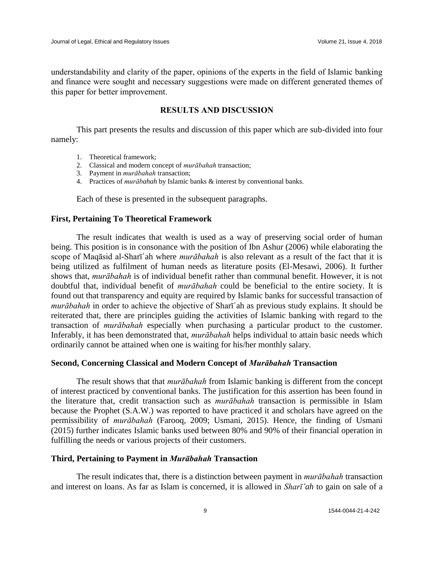understandability and clarity of the paper, opinions of the experts in the field of Islamic banking and finance were sought and necessary suggestions were made on different generated themes of this paper for better improvement.

# **RESULTS AND DISCUSSION**

This part presents the results and discussion of this paper which are sub-divided into four namely:

- 1. Theoretical framework;
- 2. Classical and modern concept of *murābahah* transaction;
- 3. Payment in *murābahah* transaction;
- 4. Practices of *murābahah* by Islamic banks & interest by conventional banks.

Each of these is presented in the subsequent paragraphs.

#### **First, Pertaining To Theoretical Framework**

The result indicates that wealth is used as a way of preserving social order of human being. This position is in consonance with the position of Ibn Ashur (2006) while elaborating the scope of Maqāsid al-Sharī'ah where *murābahah* is also relevant as a result of the fact that it is being utilized as fulfilment of human needs as literature posits (El-Mesawi, 2006). It further shows that, *murābahah* is of individual benefit rather than communal benefit. However, it is not doubtful that, individual benefit of *murābahah* could be beneficial to the entire society. It is found out that transparency and equity are required by Islamic banks for successful transaction of *murābahah* in order to achieve the objective of Sharī'ah as previous study explains. It should be reiterated that, there are principles guiding the activities of Islamic banking with regard to the transaction of *murābahah* especially when purchasing a particular product to the customer. Inferably, it has been demonstrated that, *murābahah* helps individual to attain basic needs which ordinarily cannot be attained when one is waiting for his/her monthly salary.

#### **Second, Concerning Classical and Modern Concept of** *Murābahah* **Transaction**

The result shows that that *murābahah* from Islamic banking is different from the concept of interest practiced by conventional banks. The justification for this assertion has been found in the literature that, credit transaction such as *murābahah* transaction is permissible in Islam because the Prophet (S.A.W.) was reported to have practiced it and scholars have agreed on the permissibility of *murābahah* (Farooq, 2009; Usmani, 2015). Hence, the finding of Usmani (2015) further indicates Islamic banks used between 80% and 90% of their financial operation in fulfilling the needs or various projects of their customers.

#### **Third, Pertaining to Payment in** *Murābahah* **Transaction**

The result indicates that, there is a distinction between payment in *murābahah* transaction and interest on loans. As far as Islam is concerned, it is allowed in *Sharī'ah* to gain on sale of a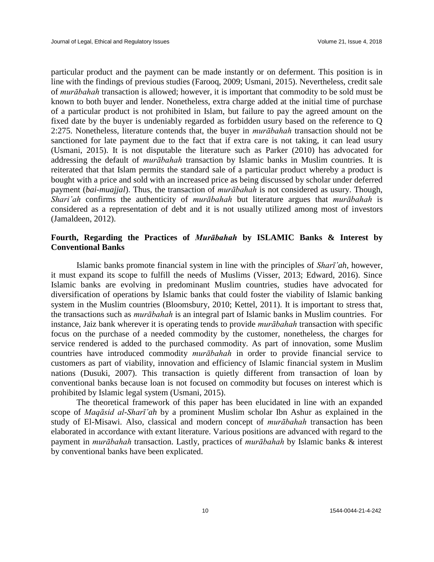particular product and the payment can be made instantly or on deferment. This position is in line with the findings of previous studies (Farooq, 2009; Usmani, 2015). Nevertheless, credit sale of *murābahah* transaction is allowed; however, it is important that commodity to be sold must be known to both buyer and lender. Nonetheless, extra charge added at the initial time of purchase of a particular product is not prohibited in Islam, but failure to pay the agreed amount on the fixed date by the buyer is undeniably regarded as forbidden usury based on the reference to Q 2:275. Nonetheless, literature contends that, the buyer in *murābahah* transaction should not be sanctioned for late payment due to the fact that if extra care is not taking, it can lead usury (Usmani, 2015). It is not disputable the literature such as Parker (2010) has advocated for addressing the default of *murābahah* transaction by Islamic banks in Muslim countries. It is reiterated that that Islam permits the standard sale of a particular product whereby a product is bought with a price and sold with an increased price as being discussed by scholar under deferred payment (*bai-muajjal*). Thus, the transaction of *murābahah* is not considered as usury. Though, *Shari'ah* confirms the authenticity of *murābahah* but literature argues that *murābahah* is considered as a representation of debt and it is not usually utilized among most of investors (Jamaldeen, 2012).

# **Fourth, Regarding the Practices of** *Murābahah* **by ISLAMIC Banks & Interest by Conventional Banks**

Islamic banks promote financial system in line with the principles of *Sharī'ah*, however, it must expand its scope to fulfill the needs of Muslims (Visser, 2013; Edward, 2016). Since Islamic banks are evolving in predominant Muslim countries, studies have advocated for diversification of operations by Islamic banks that could foster the viability of Islamic banking system in the Muslim countries (Bloomsbury, 2010; Kettel, 2011). It is important to stress that, the transactions such as *murābahah* is an integral part of Islamic banks in Muslim countries. For instance, Jaiz bank wherever it is operating tends to provide *murābahah* transaction with specific focus on the purchase of a needed commodity by the customer, nonetheless, the charges for service rendered is added to the purchased commodity. As part of innovation, some Muslim countries have introduced commodity *murābahah* in order to provide financial service to customers as part of viability, innovation and efficiency of Islamic financial system in Muslim nations (Dusuki, 2007). This transaction is quietly different from transaction of loan by conventional banks because loan is not focused on commodity but focuses on interest which is prohibited by Islamic legal system (Usmani, 2015).

The theoretical framework of this paper has been elucidated in line with an expanded scope of *Maqāsid al-Sharī'ah* by a prominent Muslim scholar Ibn Ashur as explained in the study of El-Misawi. Also, classical and modern concept of *murābahah* transaction has been elaborated in accordance with extant literature. Various positions are advanced with regard to the payment in *murābahah* transaction. Lastly, practices of *murābahah* by Islamic banks & interest by conventional banks have been explicated.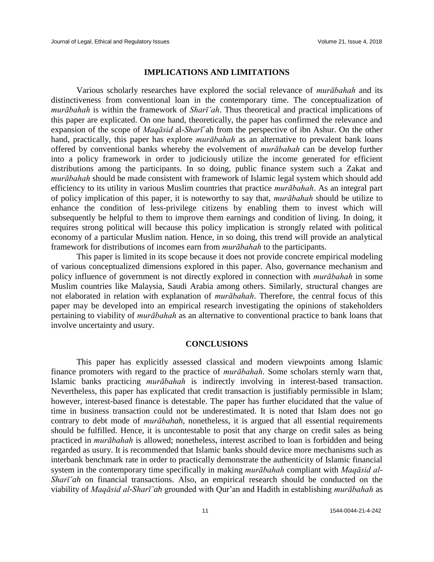#### **IMPLICATIONS AND LIMITATIONS**

Various scholarly researches have explored the social relevance of *murābahah* and its distinctiveness from conventional loan in the contemporary time. The conceptualization of *murābahah* is within the framework of *Sharī'ah*. Thus theoretical and practical implications of this paper are explicated. On one hand, theoretically, the paper has confirmed the relevance and expansion of the scope of *Maqāsid* al-*Sharī*'ah from the perspective of ibn Ashur. On the other hand, practically, this paper has explore *murābahah* as an alternative to prevalent bank loans offered by conventional banks whereby the evolvement of *murābahah* can be develop further into a policy framework in order to judiciously utilize the income generated for efficient distributions among the participants. In so doing, public finance system such a Zakat and *murābahah* should be made consistent with framework of Islamic legal system which should add efficiency to its utility in various Muslim countries that practice *murābahah*. As an integral part of policy implication of this paper, it is noteworthy to say that, *murābahah* should be utilize to enhance the condition of less-privilege citizens by enabling them to invest which will subsequently be helpful to them to improve them earnings and condition of living. In doing, it requires strong political will because this policy implication is strongly related with political economy of a particular Muslim nation. Hence, in so doing, this trend will provide an analytical framework for distributions of incomes earn from *murābahah* to the participants.

This paper is limited in its scope because it does not provide concrete empirical modeling of various conceptualized dimensions explored in this paper. Also, governance mechanism and policy influence of government is not directly explored in connection with *murābahah* in some Muslim countries like Malaysia, Saudi Arabia among others. Similarly, structural changes are not elaborated in relation with explanation of *murābahah*. Therefore, the central focus of this paper may be developed into an empirical research investigating the opinions of stakeholders pertaining to viability of *murābahah* as an alternative to conventional practice to bank loans that involve uncertainty and usury.

# **CONCLUSIONS**

This paper has explicitly assessed classical and modern viewpoints among Islamic finance promoters with regard to the practice of *murābahah*. Some scholars sternly warn that, Islamic banks practicing *murābahah* is indirectly involving in interest-based transaction. Nevertheless, this paper has explicated that credit transaction is justifiably permissible in Islam; however, interest-based finance is detestable. The paper has further elucidated that the value of time in business transaction could not be underestimated. It is noted that Islam does not go contrary to debt mode of *murābahah*, nonetheless, it is argued that all essential requirements should be fulfilled. Hence, it is uncontestable to posit that any charge on credit sales as being practiced in *murābahah* is allowed; nonetheless, interest ascribed to loan is forbidden and being regarded as usury. It is recommended that Islamic banks should device more mechanisms such as interbank benchmark rate in order to practically demonstrate the authenticity of Islamic financial system in the contemporary time specifically in making *murābahah* compliant with *Maqāsid al-Sharī'ah* on financial transactions. Also, an empirical research should be conducted on the viability of *Maqāsid al-Sharī῾ah* grounded with Qur'an and Hadith in establishing *murābahah* as